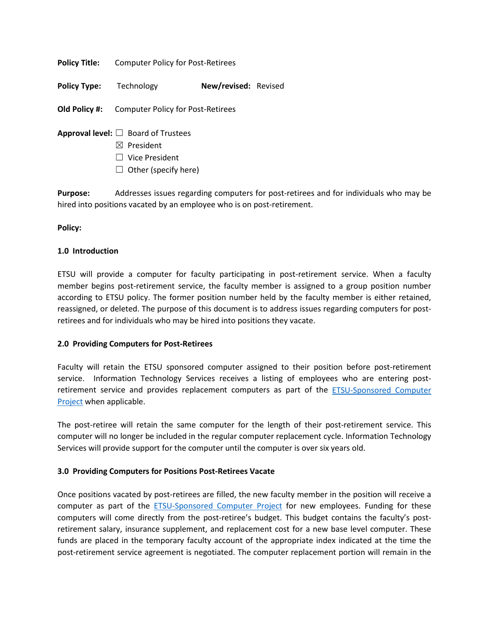**Policy Title:** Computer Policy for Post-Retirees

**Policy Type:** Technology **New/revised:** Revised

**Old Policy #:** Computer Policy for Post-Retirees

- **Approval level:** ☐ Board of Trustees
	- ☒ President
	- ☐ Vice President
	- $\Box$  Other (specify here)

**Purpose:** Addresses issues regarding computers for post-retirees and for individuals who may be hired into positions vacated by an employee who is on post-retirement.

## **Policy:**

## **1.0 Introduction**

ETSU will provide a computer for faculty participating in post-retirement service. When a faculty member begins post-retirement service, the faculty member is assigned to a group position number according to ETSU policy. The former position number held by the faculty member is either retained, reassigned, or deleted. The purpose of this document is to address issues regarding computers for postretirees and for individuals who may be hired into positions they vacate.

## **2.0 Providing Computers for Post-Retirees**

Faculty will retain the ETSU sponsored computer assigned to their position before post-retirement service. Information Technology Services receives a listing of employees who are entering postretirement service and provides replacement computers as part of the [ETSU-Sponsored Computer](http://www.etsu.edu/its/policies/its-pcs.aspx)  [Project](http://www.etsu.edu/its/policies/its-pcs.aspx) when applicable.

The post-retiree will retain the same computer for the length of their post-retirement service. This computer will no longer be included in the regular computer replacement cycle. Information Technology Services will provide support for the computer until the computer is over six years old.

## **3.0 Providing Computers for Positions Post-Retirees Vacate**

Once positions vacated by post-retirees are filled, the new faculty member in the position will receive a computer as part of the [ETSU-Sponsored Computer Project](http://www.etsu.edu/its/policies/its-pcs.aspx) for new employees. Funding for these computers will come directly from the post-retiree's budget. This budget contains the faculty's postretirement salary, insurance supplement, and replacement cost for a new base level computer. These funds are placed in the temporary faculty account of the appropriate index indicated at the time the post-retirement service agreement is negotiated. The computer replacement portion will remain in the